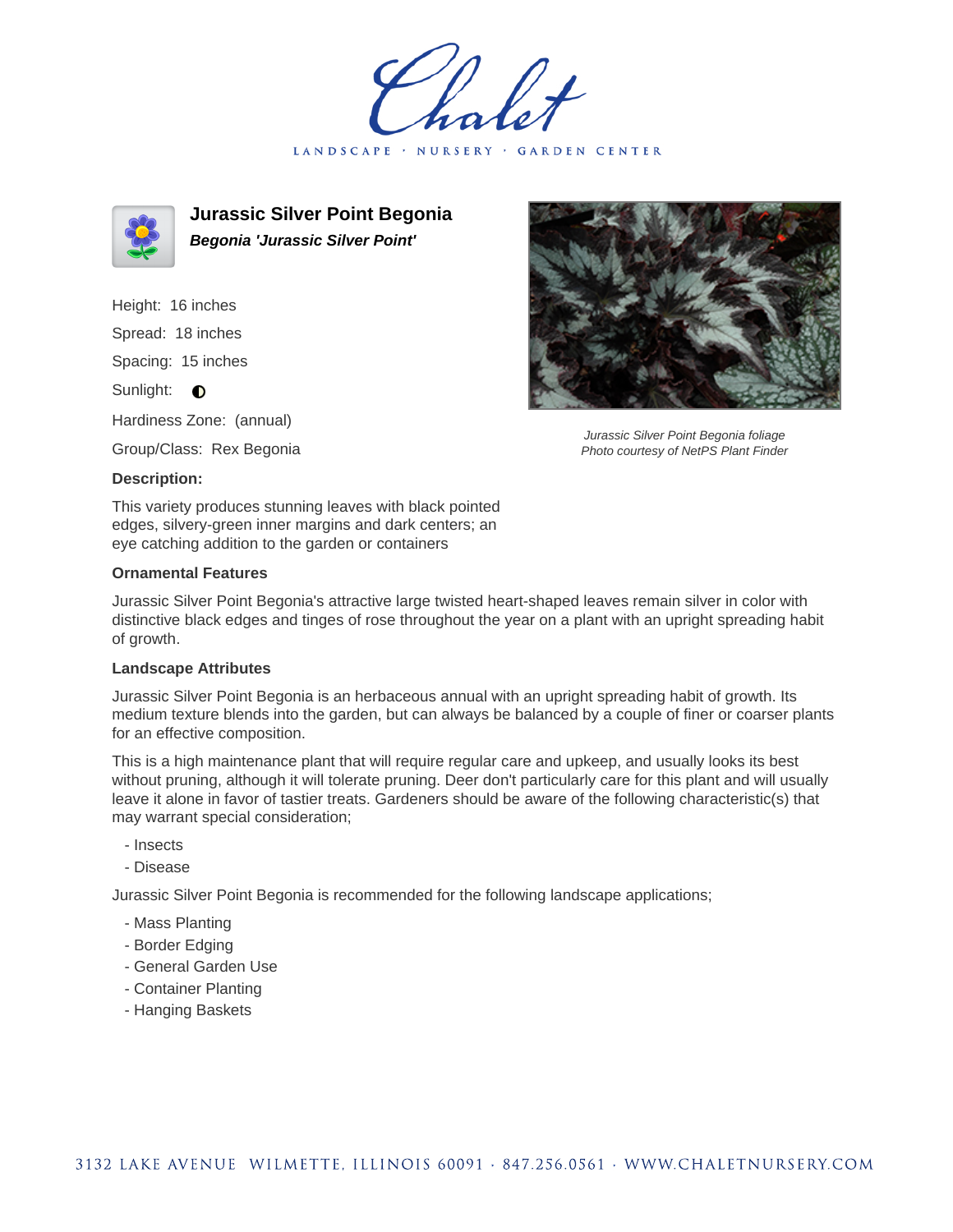holet LANDSCAPE · NURSERY · GARDEN CENTER



**Jurassic Silver Point Begonia Begonia 'Jurassic Silver Point'**

Height: 16 inches Spread: 18 inches Spacing: 15 inches Sunlight: **O** Hardiness Zone: (annual)

Group/Class: Rex Begonia

## **Description:**

This variety produces stunning leaves with black pointed edges, silvery-green inner margins and dark centers; an eye catching addition to the garden or containers

## **Ornamental Features**

Jurassic Silver Point Begonia's attractive large twisted heart-shaped leaves remain silver in color with distinctive black edges and tinges of rose throughout the year on a plant with an upright spreading habit of growth.

## **Landscape Attributes**

Jurassic Silver Point Begonia is an herbaceous annual with an upright spreading habit of growth. Its medium texture blends into the garden, but can always be balanced by a couple of finer or coarser plants for an effective composition.

This is a high maintenance plant that will require regular care and upkeep, and usually looks its best without pruning, although it will tolerate pruning. Deer don't particularly care for this plant and will usually leave it alone in favor of tastier treats. Gardeners should be aware of the following characteristic(s) that may warrant special consideration;

- Insects
- Disease

Jurassic Silver Point Begonia is recommended for the following landscape applications;

- Mass Planting
- Border Edging
- General Garden Use
- Container Planting
- Hanging Baskets



Jurassic Silver Point Begonia foliage Photo courtesy of NetPS Plant Finder